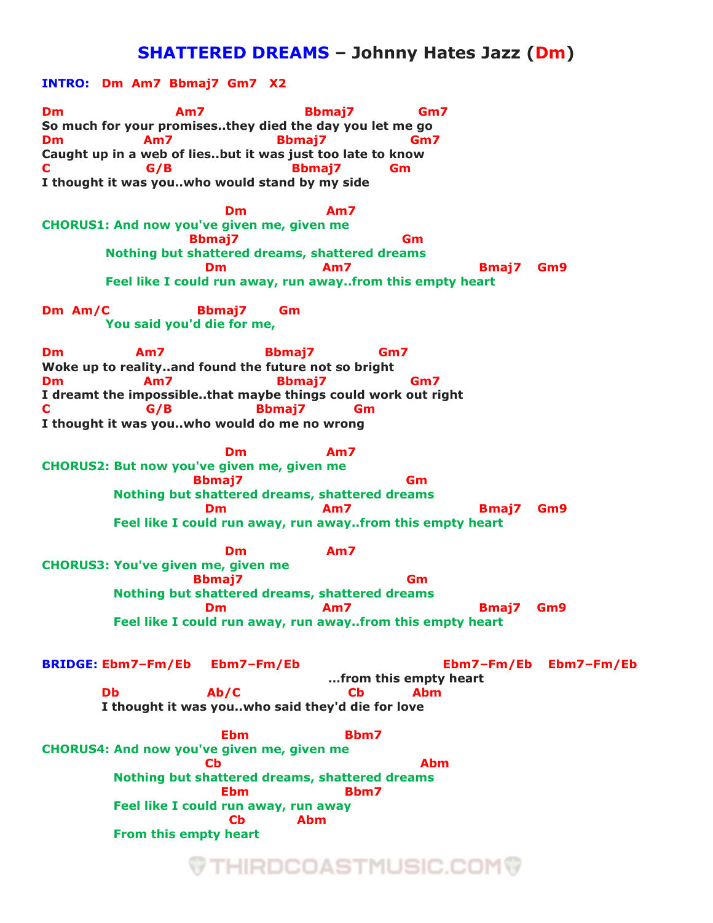## **SHATTERED DREAMS – Johnny Hates Jazz (Dm)**

**INTRO: Dm Am7 Bbmaj7 Gm7 X2 Dm Am7 Bbmaj7 Gm7 So much for your promises..they died the day you let me go Dm Am7 Bbmaj7 Gm7 Caught up in a web of lies..but it was just too late to know C G/B Bbmaj7 Gm I thought it was you..who would stand by my side** *Dm* **Am7 CHORUS1: And now you've given me, given me Bbmaj7 Gm Nothing but shattered dreams, shattered dreams Dm Am7 Bmai7 Gm9 Feel like I could run away, run away..from this empty heart Dm Am/C Bbmaj7 Gm You said you'd die for me, Dm Am7 Bbmaj7 Gm7 Woke up to reality..and found the future not so bright Dm Am7 Bbmaj7 Gm7 I dreamt the impossible..that maybe things could work out right C G/B Bbmaj7 Gm I thought it was you..who would do me no wrong** *Dm* **Am7 CHORUS2: But now you've given me, given me Bbmaj7 Gm Nothing but shattered dreams, shattered dreams Dm Am7 Am7 Bmai7** Gm9  **Feel like I could run away, run away..from this empty heart** *Dm* **Am7 CHORUS3: You've given me, given me Bbmaj7 Gm Nothing but shattered dreams, shattered dreams Dm Am7 Am7 Bmai7** Gm9  **Feel like I could run away, run away..from this empty heart BRIDGE: Ebm7–Fm/Eb Ebm7–Fm/Eb Ebm7–Fm/Eb Ebm7–Fm/Eb …from this empty heart Db Ab/C Cb Abm I thought it was you..who said they'd die for love Ebm Bbm7** Bbm7 **CHORUS4: And now you've given me, given me ability of the Cb Cb Cb Abm Nothing but shattered dreams, shattered dreams Ebm Bbm7** Bbm7  **Feel like I could run away, run away Cb Abm From this empty heart**

## ♥ THIRDCOASTMUSIC.COM♥